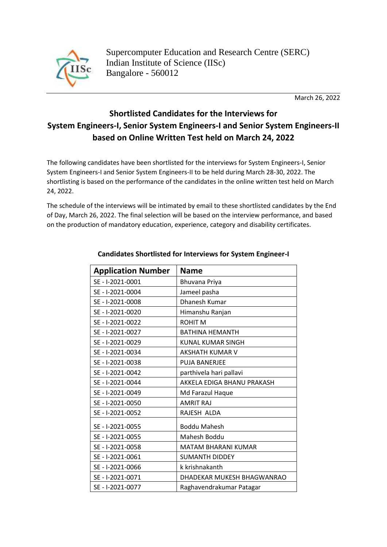

March 26, 2022

## **Shortlisted Candidates for the Interviews for System Engineers-I, Senior System Engineers-I and Senior System Engineers-II based on Online Written Test held on March 24, 2022**

The following candidates have been shortlisted for the interviews for System Engineers-I, Senior System Engineers-I and Senior System Engineers-II to be held during March 28-30, 2022. The shortlisting is based on the performance of the candidates in the online written test held on March 24, 2022.

The schedule of the interviews will be intimated by email to these shortlisted candidates by the End of Day, March 26, 2022. The final selection will be based on the interview performance, and based on the production of mandatory education, experience, category and disability certificates.

| <b>Application Number</b> | <b>Name</b>                |
|---------------------------|----------------------------|
| SE - 1-2021-0001          | Bhuvana Priya              |
| SE - I-2021-0004          | Jameel pasha               |
| SE - I-2021-0008          | Dhanesh Kumar              |
| SE - I-2021-0020          | Himanshu Ranjan            |
| SE - I-2021-0022          | <b>ROHIT M</b>             |
| SE - I-2021-0027          | <b>BATHINA HEMANTH</b>     |
| SE - I-2021-0029          | <b>KUNAL KUMAR SINGH</b>   |
| SE - I-2021-0034          | <b>AKSHATH KUMAR V</b>     |
| SE - I-2021-0038          | <b>PUJA BANERJEE</b>       |
| SE - I-2021-0042          | parthivela hari pallavi    |
| SE - I-2021-0044          | AKKELA EDIGA BHANU PRAKASH |
| SE - I-2021-0049          | Md Farazul Haque           |
| SE - I-2021-0050          | <b>AMRIT RAJ</b>           |
| SE - I-2021-0052          | RAJESH ALDA                |
| SE - I-2021-0055          | <b>Boddu Mahesh</b>        |
| SE - I-2021-0055          | Mahesh Boddu               |
| SE - I-2021-0058          | <b>MATAM BHARANI KUMAR</b> |
| SE - I-2021-0061          | <b>SUMANTH DIDDEY</b>      |
| SE - I-2021-0066          | k krishnakanth             |
| SE - I-2021-0071          | DHADEKAR MUKESH BHAGWANRAO |
| SE - I-2021-0077          | Raghavendrakumar Patagar   |

## **Candidates Shortlisted for Interviews for System Engineer-I**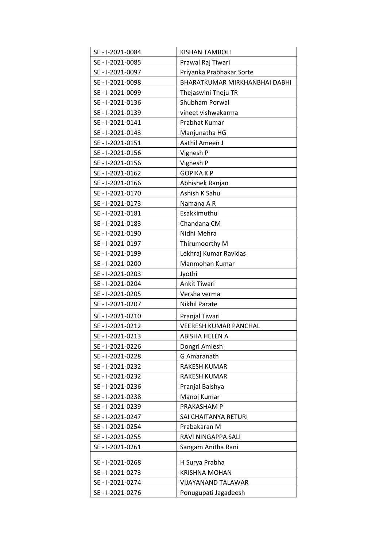| SE - I-2021-0084 | <b>KISHAN TAMBOLI</b>         |
|------------------|-------------------------------|
| SE - I-2021-0085 | Prawal Raj Tiwari             |
| SE - I-2021-0097 | Priyanka Prabhakar Sorte      |
| SE - I-2021-0098 | BHARATKUMAR MIRKHANBHAI DABHI |
| SE - I-2021-0099 | Thejaswini Theju TR           |
| SE - I-2021-0136 | Shubham Porwal                |
| SE - I-2021-0139 | vineet vishwakarma            |
| SE - I-2021-0141 | Prabhat Kumar                 |
| SE - I-2021-0143 | Manjunatha HG                 |
| SE - I-2021-0151 | Aathil Ameen J                |
| SE - I-2021-0156 | Vignesh P                     |
| SE - I-2021-0156 | Vignesh P                     |
| SE - I-2021-0162 | <b>GOPIKAKP</b>               |
| SE - I-2021-0166 | Abhishek Ranjan               |
| SE - I-2021-0170 | Ashish K Sahu                 |
| SE - I-2021-0173 | Namana A R                    |
| SE - I-2021-0181 | Esakkimuthu                   |
| SE - I-2021-0183 | Chandana CM                   |
| SE - I-2021-0190 | Nidhi Mehra                   |
| SE - I-2021-0197 | Thirumoorthy M                |
| SE - I-2021-0199 | Lekhraj Kumar Ravidas         |
| SE - I-2021-0200 | Manmohan Kumar                |
| SE - I-2021-0203 | Jyothi                        |
| SE - I-2021-0204 | Ankit Tiwari                  |
| SE - I-2021-0205 | Versha verma                  |
| SE - I-2021-0207 | Nikhil Parate                 |
| SE - I-2021-0210 | Pranjal Tiwari                |
| SE - I-2021-0212 | <b>VEERESH KUMAR PANCHAL</b>  |
| SE - I-2021-0213 | ABISHA HELEN A                |
| SE - I-2021-0226 | Dongri Amlesh                 |
| SE - I-2021-0228 | G Amaranath                   |
| SE - I-2021-0232 | RAKESH KUMAR                  |
| SE - I-2021-0232 | RAKESH KUMAR                  |
| SE - I-2021-0236 | Pranjal Baishya               |
| SE - I-2021-0238 | Manoj Kumar                   |
| SE - I-2021-0239 | PRAKASHAM P                   |
| SE - I-2021-0247 | SAI CHAITANYA RETURI          |
| SE - I-2021-0254 | Prabakaran M                  |
| SE - I-2021-0255 | RAVI NINGAPPA SALI            |
| SE - I-2021-0261 | Sangam Anitha Rani            |
| SE - I-2021-0268 | H Surya Prabha                |
| SE - I-2021-0273 | <b>KRISHNA MOHAN</b>          |
|                  |                               |
| SE - I-2021-0274 | VIJAYANAND TALAWAR            |
| SE - I-2021-0276 | Ponugupati Jagadeesh          |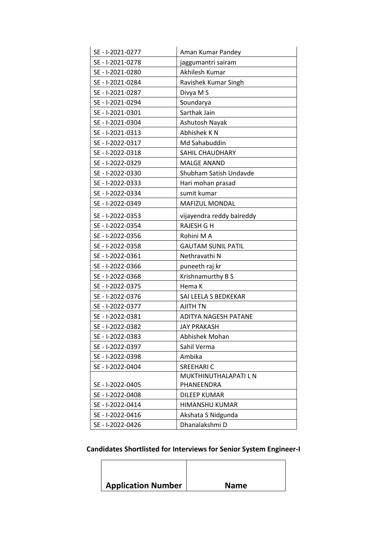| SE - I-2021-0277 | Aman Kumar Pandey         |  |
|------------------|---------------------------|--|
| SE - I-2021-0278 | jaggumantri sairam        |  |
| SE - I-2021-0280 | Akhilesh Kumar            |  |
| SE - I-2021-0284 | Ravishek Kumar Singh      |  |
| SE - I-2021-0287 | Divya M S                 |  |
| SE - I-2021-0294 | Soundarya                 |  |
| SE - I-2021-0301 | Sarthak Jain              |  |
| SE - I-2021-0304 | Ashutosh Nayak            |  |
| SE - I-2021-0313 | Abhishek K N              |  |
| SE - I-2022-0317 | Md Sahabuddin             |  |
| SE - I-2022-0318 | SAHIL CHAUDHARY           |  |
| SE - I-2022-0329 | <b>MALGE ANAND</b>        |  |
| SE - I-2022-0330 | Shubham Satish Undavde    |  |
| SE - I-2022-0333 | Hari mohan prasad         |  |
| SE - I-2022-0334 | sumit kumar               |  |
| SE - I-2022-0349 | <b>MAFIZUL MONDAL</b>     |  |
| SE - I-2022-0353 | vijayendra reddy baireddy |  |
| SE - I-2022-0354 | <b>RAJESH G H</b>         |  |
| SE - I-2022-0356 | Rohini M A                |  |
| SE - I-2022-0358 | <b>GAUTAM SUNIL PATIL</b> |  |
| SE - I-2022-0361 | Nethravathi N             |  |
| SE - I-2022-0366 | puneeth raj kr            |  |
| SE - I-2022-0368 | Krishnamurthy B S         |  |
| SE - I-2022-0375 | Hema K                    |  |
| SE - I-2022-0376 | SAI LEELA S BEDKEKAR      |  |
| SE - I-2022-0377 | <b>AJITH TN</b>           |  |
| SE - I-2022-0381 | ADITYA NAGESH PATANE      |  |
| SE - I-2022-0382 | <b>JAY PRAKASH</b>        |  |
| SE - I-2022-0383 | Abhishek Mohan            |  |
| SE - I-2022-0397 | Sahil Verma               |  |
| SE - I-2022-0398 | Ambika                    |  |
| SE - I-2022-0404 | <b>SREEHARIC</b>          |  |
|                  | MUKTHINUTHALAPATI L N     |  |
| SE - I-2022-0405 | PHANEENDRA                |  |
| SE - I-2022-0408 | <b>DILEEP KUMAR</b>       |  |
| SE - I-2022-0414 | <b>HIMANSHU KUMAR</b>     |  |
| SE - I-2022-0416 | Akshata S Nidgunda        |  |
| SE - I-2022-0426 | Dhanalakshmi D            |  |

## **Candidates Shortlisted for Interviews for Senior System Engineer-I**

| <b>Application Number</b> | <b>Name</b> |
|---------------------------|-------------|